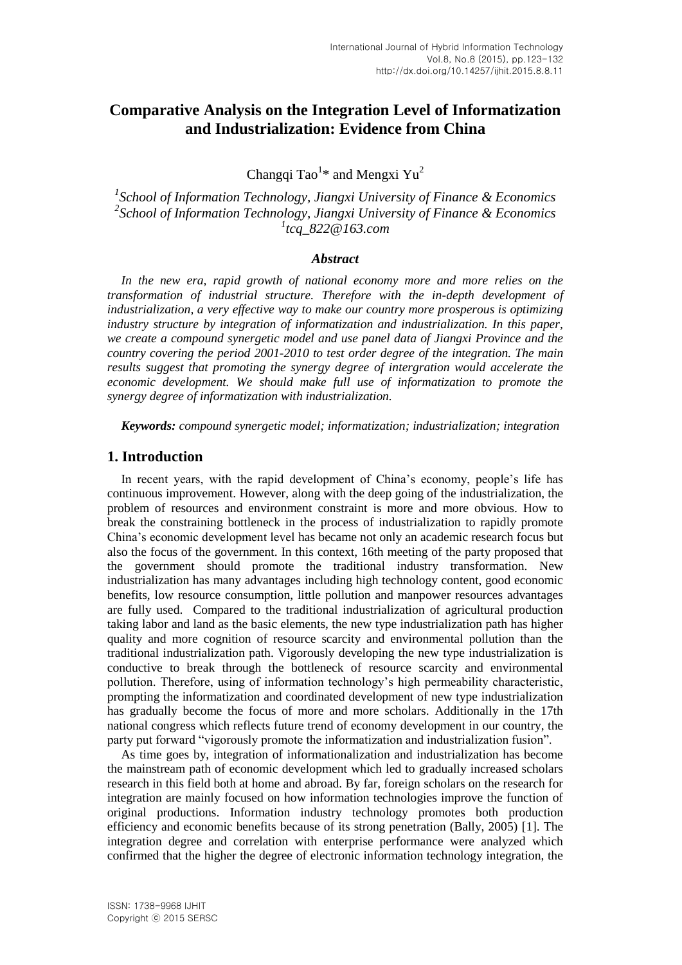# **Comparative Analysis on the Integration Level of Informatization and Industrialization: Evidence from China**

Changqi Tao<sup>1\*</sup> and Mengxi Yu<sup>2</sup>

*1 School of Information Technology, Jiangxi University of Finance & Economics 2 School of Information Technology, Jiangxi University of Finance & Economics 1 tcq\_822@163.com*

### *Abstract*

In the new era, rapid growth of national economy more and more relies on the *transformation of industrial structure. Therefore with the in-depth development of industrialization, a very effective way to make our country more prosperous is optimizing industry structure by integration of informatization and industrialization. In this paper, we create a compound synergetic model and use panel data of Jiangxi Province and the country covering the period 2001-2010 to test order degree of the integration. The main results suggest that promoting the synergy degree of intergration would accelerate the economic development. We should make full use of informatization to promote the synergy degree of informatization with industrialization.*

*Keywords: compound synergetic model; informatization; industrialization; integration*

#### **1. Introduction**

In recent years, with the rapid development of China's economy, people's life has continuous improvement. However, along with the deep going of the industrialization, the problem of resources and environment constraint is more and more obvious. How to break the constraining bottleneck in the process of industrialization to rapidly promote China's economic development level has became not only an academic research focus but also the focus of the government. In this context, 16th meeting of the party proposed that the government should promote the traditional industry transformation. New industrialization has many advantages including high technology content, good economic benefits, low resource consumption, little pollution and manpower resources advantages are fully used. Compared to the traditional industrialization of agricultural production taking labor and land as the basic elements, the new type industrialization path has higher quality and more cognition of resource scarcity and environmental pollution than the traditional industrialization path. Vigorously developing the new type industrialization is conductive to break through the bottleneck of resource scarcity and environmental pollution. Therefore, using of information technology's high permeability characteristic, prompting the informatization and coordinated development of new type industrialization has gradually become the focus of more and more scholars. Additionally in the 17th national congress which reflects future trend of economy development in our country, the party put forward "vigorously promote the informatization and industrialization fusion".

As time goes by, integration of informationalization and industrialization has become the mainstream path of economic development which led to gradually increased scholars research in this field both at home and abroad. By far, foreign scholars on the research for integration are mainly focused on how information technologies improve the function of original productions. Information industry technology promotes both production efficiency and economic benefits because of its strong penetration (Bally, 2005) [1]. The integration degree and correlation with enterprise performance were analyzed which confirmed that the higher the degree of electronic information technology integration, the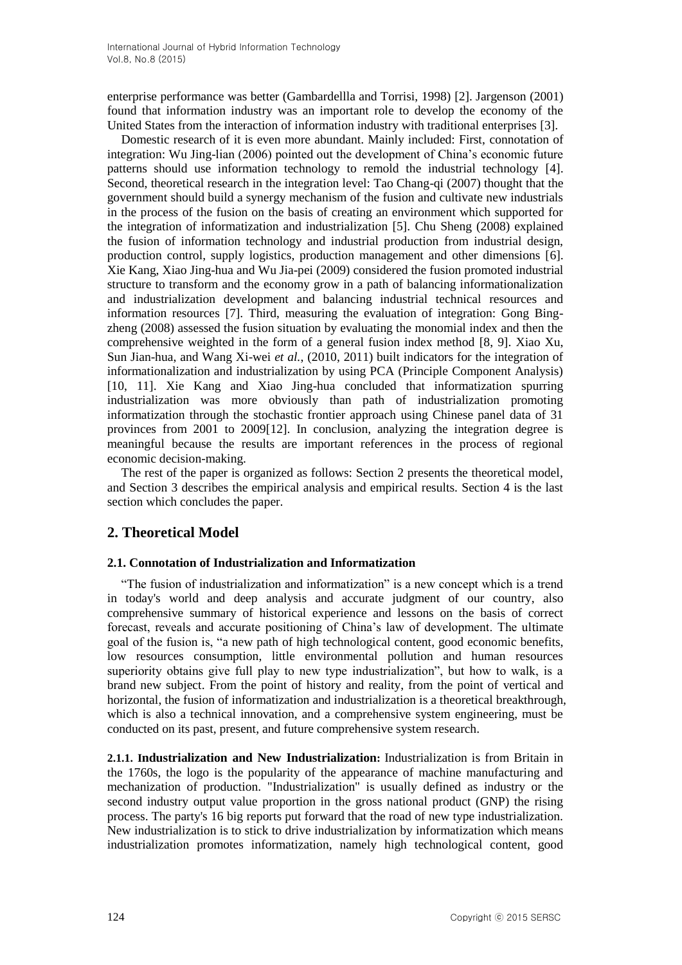enterprise performance was better (Gambardellla and Torrisi, 1998) [2]. Jargenson (2001) found that information industry was an important role to develop the economy of the United States from the interaction of information industry with traditional enterprises [3].

Domestic research of it is even more abundant. Mainly included: First, connotation of integration: Wu Jing-lian (2006) pointed out the development of China's economic future patterns should use information technology to remold the industrial technology [4]. Second, theoretical research in the integration level: Tao Chang-qi (2007) thought that the government should build a synergy mechanism of the fusion and cultivate new industrials in the process of the fusion on the basis of creating an environment which supported for the integration of informatization and industrialization [5]. Chu Sheng (2008) explained the fusion of information technology and industrial production from industrial design, production control, supply logistics, production management and other dimensions [6]. Xie Kang, Xiao Jing-hua and Wu Jia-pei (2009) considered the fusion promoted industrial structure to transform and the economy grow in a path of balancing informationalization and industrialization development and balancing industrial technical resources and information resources [7]. Third, measuring the evaluation of integration: Gong Bingzheng (2008) assessed the fusion situation by evaluating the monomial index and then the comprehensive weighted in the form of a general fusion index method [8, 9]. Xiao Xu, Sun Jian-hua, and Wang Xi-wei *et al.*, (2010, 2011) built indicators for the integration of informationalization and industrialization by using PCA (Principle Component Analysis) [10, 11]. Xie Kang and Xiao Jing-hua concluded that informatization spurring industrialization was more obviously than path of industrialization promoting informatization through the stochastic frontier approach using Chinese panel data of 31 provinces from 2001 to 2009[12]. In conclusion, analyzing the integration degree is meaningful because the results are important references in the process of regional economic decision-making.

The rest of the paper is organized as follows: Section 2 presents the theoretical model, and Section 3 describes the empirical analysis and empirical results. Section 4 is the last section which concludes the paper.

# **2. Theoretical Model**

### **2.1. Connotation of Industrialization and Informatization**

"The fusion of industrialization and informatization" is a new concept which is a trend in today's world and deep analysis and accurate judgment of our country, also comprehensive summary of historical experience and lessons on the basis of correct forecast, reveals and accurate positioning of China's law of development. The ultimate goal of the fusion is, "a new path of high technological content, good economic benefits, low resources consumption, little environmental pollution and human resources superiority obtains give full play to new type industrialization", but how to walk, is a brand new subject. From the point of history and reality, from the point of vertical and horizontal, the fusion of informatization and industrialization is a theoretical breakthrough, which is also a technical innovation, and a comprehensive system engineering, must be conducted on its past, present, and future comprehensive system research.

**2.1.1. Industrialization and New Industrialization:** Industrialization is from Britain in the 1760s, the logo is the popularity of the appearance of machine manufacturing and mechanization of production. "Industrialization" is usually defined as industry or the second industry output value proportion in the gross national product (GNP) the rising process. The party's 16 big reports put forward that the road of new type industrialization. New industrialization is to stick to drive industrialization by informatization which means industrialization promotes informatization, namely high technological content, good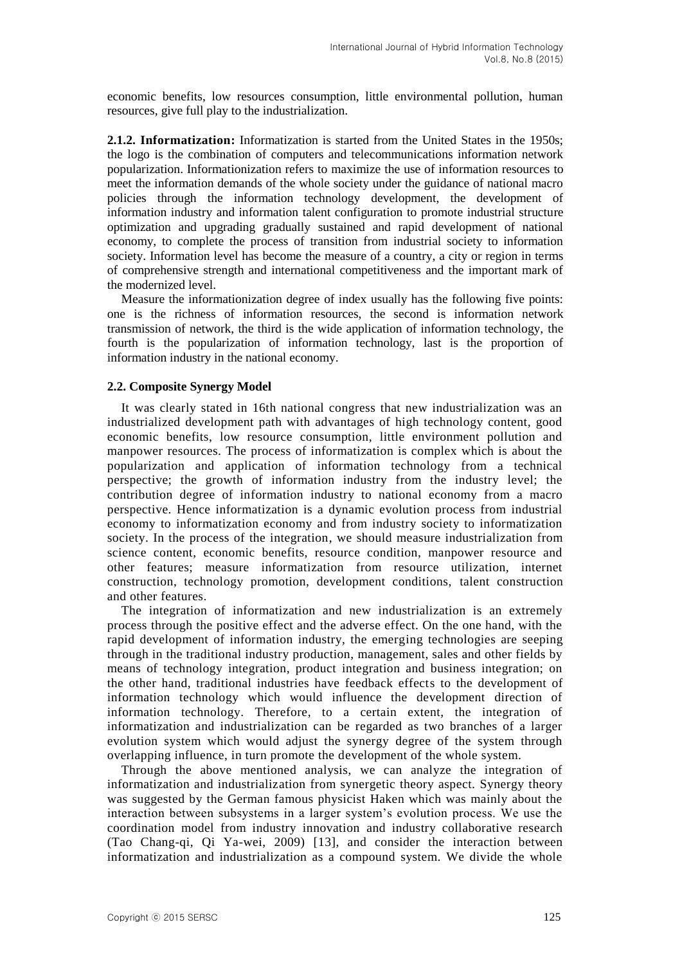economic benefits, low resources consumption, little environmental pollution, human resources, give full play to the industrialization.

**2.1.2. Informatization:** Informatization is started from the United States in the 1950s; the logo is the combination of computers and telecommunications information network popularization. Informationization refers to maximize the use of information resources to meet the information demands of the whole society under the guidance of national macro policies through the information technology development, the development of information industry and information talent configuration to promote industrial structure optimization and upgrading gradually sustained and rapid development of national economy, to complete the process of transition from industrial society to information society. Information level has become the measure of a country, a city or region in terms of comprehensive strength and international competitiveness and the important mark of the modernized level.

Measure the informationization degree of index usually has the following five points: one is the richness of information resources, the second is information network transmission of network, the third is the wide application of information technology, the fourth is the popularization of information technology, last is the proportion of information industry in the national economy.

### **2.2. Composite Synergy Model**

It was clearly stated in 16th national congress that new industrialization was an industrialized development path with advantages of high technology content, good economic benefits, low resource consumption, little environment pollution and manpower resources. The process of informatization is complex which is about the popularization and application of information technology from a technical perspective; the growth of information industry from the industry level; the contribution degree of information industry to national economy from a macro perspective. Hence informatization is a dynamic evolution process from industrial economy to informatization economy and from industry society to informatization society. In the process of the integration, we should measure industrialization from science content, economic benefits, resource condition, manpower resource and other features; measure informatization from resource utilization, internet construction, technology promotion, development conditions, talent construction and other features.

The integration of informatization and new industrialization is an extremely process through the positive effect and the adverse effect. On the one hand, with the rapid development of information industry, the emerging technologies are seeping through in the traditional industry production, management, sales and other fields by means of technology integration, product integration and business integration; on the other hand, traditional industries have feedback effects to the development of information technology which would influence the development direction of information technology. Therefore, to a certain extent, the integration of informatization and industrialization can be regarded as two branches of a larger evolution system which would adjust the synergy degree of the system through overlapping influence, in turn promote the development of the whole system.

Through the above mentioned analysis, we can analyze the integration of informatization and industrialization from synergetic theory aspect. Synergy theory was suggested by the German famous physicist Haken which was mainly about the interaction between subsystems in a larger system's evolution process. We use the coordination model from industry innovation and industry collaborative research (Tao Chang-qi, Qi Ya-wei, 2009) [13], and consider the interaction between informatization and industrialization as a compound system. We divide the whole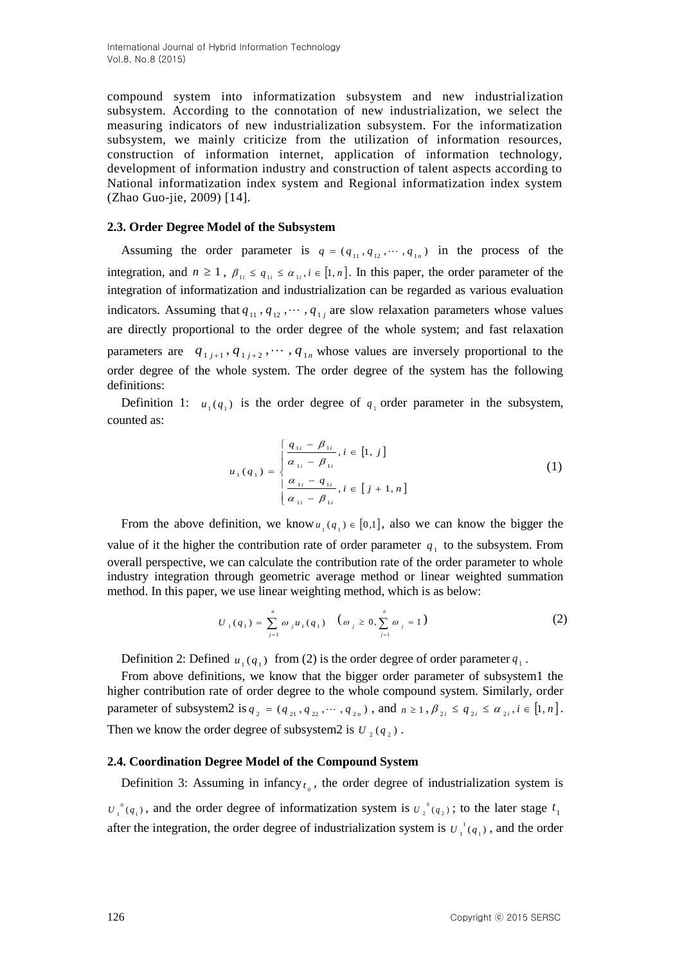compound system into informatization subsystem and new industrialization subsystem. According to the connotation of new industrialization, we select the measuring indicators of new industrialization subsystem. For the informatization subsystem, we mainly criticize from the utilization of information resources, construction of information internet, application of information technology, development of information industry and construction of talent aspects according to National informatization index system and Regional informatization index system (Zhao Guo-jie, 2009) [14].

### **2.3. Order Degree Model of the Subsystem**

Assuming the order parameter is  $q = (q_{11}, q_{12}, \dots, q_{1n})$  in the process of the integration, and  $n \geq 1$ ,  $\beta_{1i} \leq \alpha_{1i}$ ,  $i \in [1, n]$ . In this paper, the order parameter of the integration of informatization and industrialization can be regarded as various evaluation indicators. Assuming that  $q_{11}, q_{12}, \cdots, q_{1j}$  are slow relaxation parameters whose values are directly proportional to the order degree of the whole system; and fast relaxation parameters are  $q_{1j+1}, q_{1j+2}, \cdots, q_{1n}$  whose values are inversely proportional to the order degree of the whole system. The order degree of the system has the following definitions:

Definition 1:  $u_1(q_1)$  is the order degree of  $q_1$  order parameter in the subsystem, counted as:

$$
u_{1}(q_{1}) = \begin{cases} \frac{q_{1i} - \beta_{1i}}{\alpha_{1i} - \beta_{1i}}, i \in [1, j] \\ \frac{\alpha_{1i} - \beta_{1i}}{\alpha_{1i} - \beta_{1i}}, i \in [j + 1, n] \end{cases}
$$
(1)

From the above definition, we know  $u_1(q_1) \in [0,1]$ , also we can know the bigger the value of it the higher the contribution rate of order parameter  $q_1$  to the subsystem. From overall perspective, we can calculate the contribution rate of the order parameter to whole industry integration through geometric average method or linear weighted summation method. In this paper, we use linear weighting method, which is as below:

$$
U_1(q_1) = \sum_{j=1}^n \omega_j u_1(q_1) \quad (\omega_j \ge 0, \sum_{j=1}^n \omega_j = 1)
$$
 (2)

Definition 2: Defined  $u_1(q_1)$  from (2) is the order degree of order parameter  $q_1$ .

From above definitions, we know that the bigger order parameter of subsystem1 the higher contribution rate of order degree to the whole compound system. Similarly, order parameter of subsystem2 is  $q_2 = (q_{21}, q_{22}, \dots, q_{2n})$ , and  $n \ge 1$ ,  $\beta_{2i} \le q_{2i} \le \alpha_{2i}$ ,  $i \in [1, n]$ . Then we know the order degree of subsystem2 is  $U_2(q_2)$ .

# **2.4. Coordination Degree Model of the Compound System**

Definition 3: Assuming in infancy $t_0$ , the order degree of industrialization system is  $(q_1)$  $U_1^{\theta}(q_1)$ , and the order degree of informatization system is  $U_2^{\theta}(q_2)$  $U_2^0(q_2)$ ; to the later stage  $t_1$ after the integration, the order degree of industrialization system is  $U_1^{\text{I}}(q_1)$  $U_1^{\,1}(q_1)$ , and the order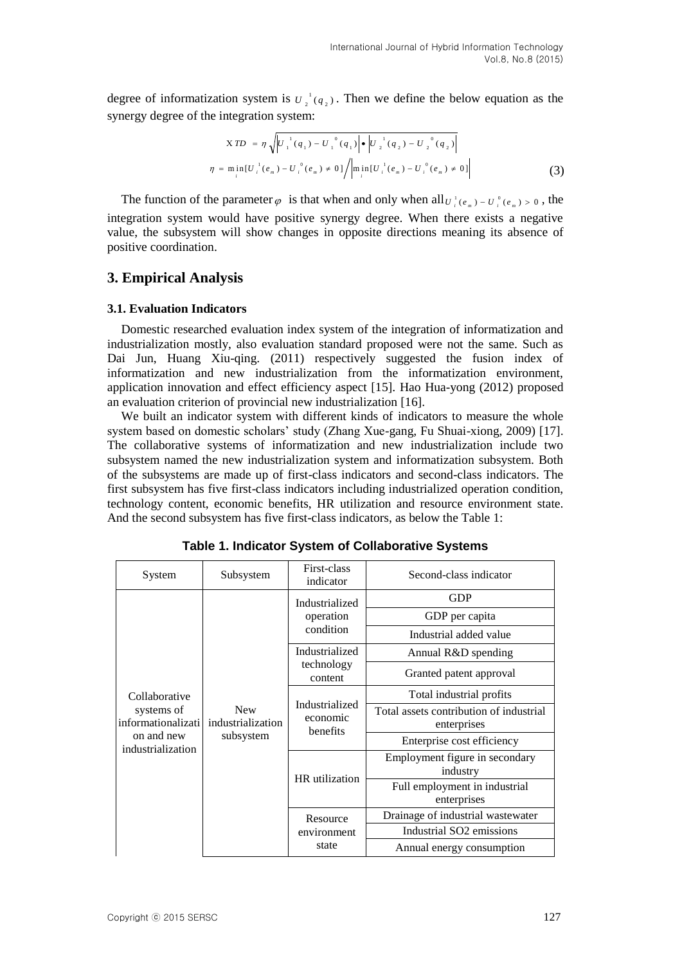degree of informatization system is  $U_2^{-1}(q_2)$  $U_2^{-1}(q_2)$ . Then we define the below equation as the synergy degree of the integration system:

$$
XTD = \eta \sqrt{U_{1}^{1}(q_{1}) - U_{1}^{0}(q_{1})} \cdot \left| \frac{U_{2}^{1}(q_{2}) - U_{2}^{0}(q_{2})}{U_{2}^{1}(q_{2}) - U_{2}^{0}(q_{2})} \right|
$$
  

$$
\eta = \min_{i} [U_{i}^{1}(e_{m}) - U_{i}^{0}(e_{m}) \neq 0] / \left| \min_{i} [U_{i}^{1}(e_{m}) - U_{i}^{0}(e_{m}) \neq 0] \right|
$$
(3)

The function of the parameter  $\varphi$  is that when and only when all  $U_i^i(e_m) - U_i^o(e_m) > 0$ , the integration system would have positive synergy degree. When there exists a negative value, the subsystem will show changes in opposite directions meaning its absence of positive coordination.

#### **3. Empirical Analysis**

#### **3.1. Evaluation Indicators**

Domestic researched evaluation index system of the integration of informatization and industrialization mostly, also evaluation standard proposed were not the same. Such as Dai Jun, Huang Xiu-qing. (2011) respectively suggested the fusion index of informatization and new industrialization from the informatization environment, application innovation and effect efficiency aspect [15]. Hao Hua-yong (2012) proposed an evaluation criterion of provincial new industrialization [16].

We built an indicator system with different kinds of indicators to measure the whole system based on domestic scholars' study (Zhang Xue-gang, Fu Shuai-xiong, 2009) [17]. The collaborative systems of informatization and new industrialization include two subsystem named the new industrialization system and informatization subsystem. Both of the subsystems are made up of first-class indicators and second-class indicators. The first subsystem has five first-class indicators including industrialized operation condition, technology content, economic benefits, HR utilization and resource environment state. And the second subsystem has five first-class indicators, as below the Table 1:

| System                           | Subsystem                                    | First-class<br>indicator               | Second-class indicator                                 |
|----------------------------------|----------------------------------------------|----------------------------------------|--------------------------------------------------------|
|                                  |                                              | Industrialized                         | <b>GDP</b>                                             |
|                                  |                                              | operation                              | GDP per capita                                         |
|                                  |                                              | condition                              | Industrial added value                                 |
|                                  |                                              | Industrialized                         | Annual R&D spending                                    |
|                                  | <b>New</b><br>industrialization<br>subsystem | technology<br>content                  | Granted patent approval                                |
| Collaborative                    |                                              | Industrialized<br>economic<br>benefits | Total industrial profits                               |
| systems of<br>informationalizati |                                              |                                        | Total assets contribution of industrial<br>enterprises |
| on and new<br>industrialization  |                                              |                                        | Enterprise cost efficiency                             |
|                                  |                                              | HR utilization                         | Employment figure in secondary<br>industry             |
|                                  |                                              |                                        | Full employment in industrial<br>enterprises           |
|                                  |                                              | Resource                               | Drainage of industrial wastewater                      |
|                                  |                                              | environment                            | Industrial SO <sub>2</sub> emissions                   |
|                                  |                                              | state                                  | Annual energy consumption                              |

**Table 1. Indicator System of Collaborative Systems**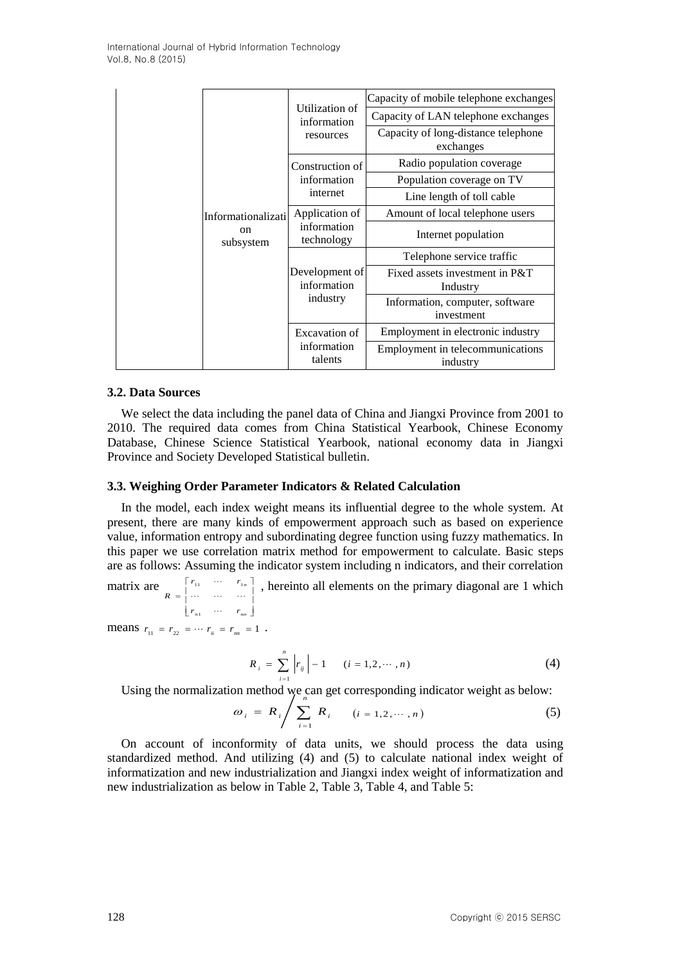|  |               |                               |                                                                                      | Capacity of mobile telephone exchanges           |
|--|---------------|-------------------------------|--------------------------------------------------------------------------------------|--------------------------------------------------|
|  |               | Utilization of<br>information | Capacity of LAN telephone exchanges                                                  |                                                  |
|  |               |                               | resources                                                                            | Capacity of long-distance telephone<br>exchanges |
|  |               |                               | Construction of                                                                      | Radio population coverage                        |
|  |               |                               | information<br>internet                                                              | Population coverage on TV                        |
|  |               |                               |                                                                                      | Line length of toll cable                        |
|  | <sub>on</sub> | Informationalizati            | Application of<br>information<br>technology                                          | Amount of local telephone users                  |
|  |               | subsystem                     |                                                                                      | Internet population                              |
|  |               |                               | Development of<br>information<br>industry<br>Excavation of<br>information<br>talents | Telephone service traffic                        |
|  |               |                               |                                                                                      | Fixed assets investment in P&T<br>Industry       |
|  |               |                               |                                                                                      | Information, computer, software<br>investment    |
|  |               |                               |                                                                                      | Employment in electronic industry                |
|  |               |                               |                                                                                      | Employment in telecommunications<br>industry     |

#### **3.2. Data Sources**

We select the data including the panel data of China and Jiangxi Province from 2001 to 2010. The required data comes from China Statistical Yearbook, Chinese Economy Database, Chinese Science Statistical Yearbook, national economy data in Jiangxi Province and Society Developed Statistical bulletin.

#### **3.3. Weighing Order Parameter Indicators & Related Calculation**

In the model, each index weight means its influential degree to the whole system. At present, there are many kinds of empowerment approach such as based on experience value, information entropy and subordinating degree function using fuzzy mathematics. In this paper we use correlation matrix method for empowerment to calculate. Basic steps are as follows: Assuming the indicator system including n indicators, and their correlation

matrix are  $r_{n1}$   $\cdots$   $r_{nn}$  $\overline{\phantom{a}}$  $\overline{\phantom{a}}$ ٦ L L Γ  $r_{11}$   $\cdots$   $r_{1n}$ <br>  $=$   $\begin{matrix} r_{11} & \cdots & r_{1n} \\ \cdots & \cdots & \cdots \end{matrix}$  $R = \begin{vmatrix} 1 & \cdots & \cdots & \cdots \end{vmatrix}$  $\begin{bmatrix} \n\cdots & r_{1n} \n\end{bmatrix}$ , hereinto all elements on the primary diagonal are 1 which

means  $r_{11} = r_{22} = \cdots r_{ii} = r_{nn} = 1$ .

$$
R_{i} = \sum_{i=1}^{n} |r_{ij}| - 1 \qquad (i = 1, 2, \cdots, n)
$$
 (4)

Using the normalization method we can get corresponding indicator weight as below:

$$
\omega_i = R_i / \sum_{i=1}^n R_i \qquad (i = 1, 2, \cdots, n)
$$
 (5)

On account of inconformity of data units, we should process the data using standardized method. And utilizing (4) and (5) to calculate national index weight of informatization and new industrialization and Jiangxi index weight of informatization and new industrialization as below in Table 2, Table 3, Table 4, and Table 5: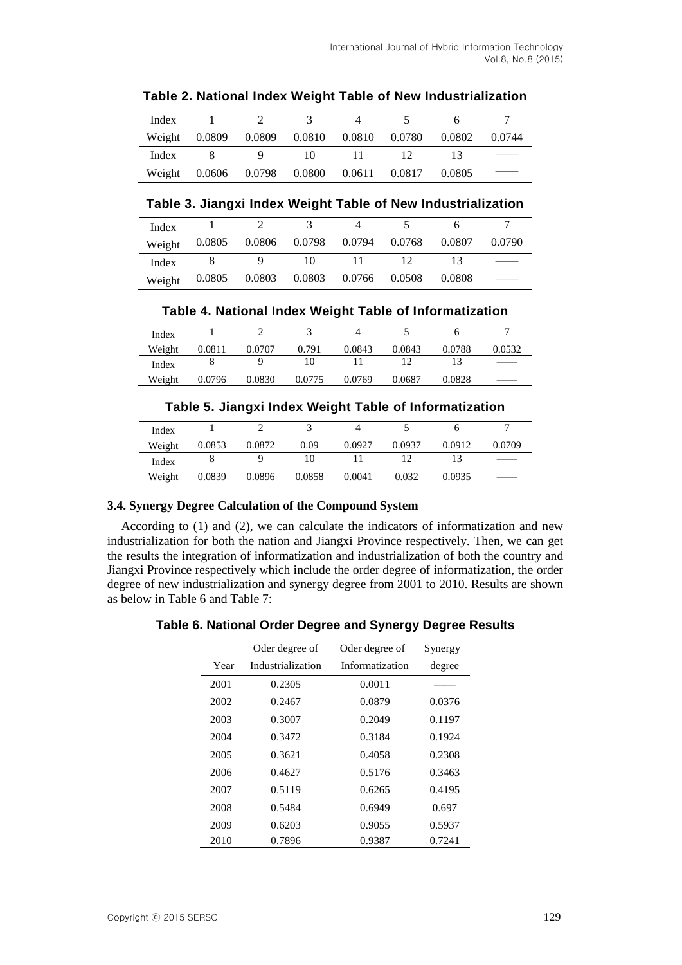| Index  |        |                            |    |              |        |        |        |
|--------|--------|----------------------------|----|--------------|--------|--------|--------|
| Weight | 0.0809 | $0.0809$ $0.0810$ $0.0810$ |    |              | 0.0780 | 0.0802 | 0.0744 |
| Index  |        |                            | 10 | $\mathbf{L}$ | 12     |        |        |
| Weight | 0.0606 | 0.0798   0.0800            |    | 0.0611       | 0.0817 | 0.0805 |        |

**Table 2. National Index Weight Table of New Industrialization**

### **Table 3. Jiangxi Index Weight Table of New Industrialization**

| Index  |        |                      |                             |        |        |        |
|--------|--------|----------------------|-----------------------------|--------|--------|--------|
| Weight | 0.0805 | 0.0806 0.0798 0.0794 |                             | 0.0768 | 0.0807 | 0.0790 |
| Index  |        |                      |                             |        |        |        |
| Weight | 0.0805 |                      | 0.0803 0.0803 0.0766 0.0508 |        | 0.0808 |        |

**Table 4. National Index Weight Table of Informatization**

| Index  |        |        |        |        |        |        |        |
|--------|--------|--------|--------|--------|--------|--------|--------|
| Weight | 0.0811 | 0.0707 | 0.791  | 0.0843 | 0.0843 | 0.0788 | 0.0532 |
| Index  |        |        |        |        |        |        |        |
| Weight | 0.0796 | 0.0830 | 0.0775 | 0.0769 | 0.0687 | 0.0828 |        |

# **Table 5. Jiangxi Index Weight Table of Informatization**

| Index  |        |        |        |        |        |        |        |
|--------|--------|--------|--------|--------|--------|--------|--------|
| Weight | 0.0853 | 0.0872 | 0.09   | 0.0927 | 0.0937 | 0.0912 | 0.0709 |
| Index  |        |        |        |        |        |        |        |
| Weight | 0.0839 | 0.0896 | 0.0858 | 0.0041 | 0.032  | 0.0935 |        |

# **3.4. Synergy Degree Calculation of the Compound System**

According to (1) and (2), we can calculate the indicators of informatization and new industrialization for both the nation and Jiangxi Province respectively. Then, we can get the results the integration of informatization and industrialization of both the country and Jiangxi Province respectively which include the order degree of informatization, the order degree of new industrialization and synergy degree from 2001 to 2010. Results are shown as below in Table 6 and Table 7:

# **Table 6. National Order Degree and Synergy Degree Results**

|      | Oder degree of    | Oder degree of  | Synergy |
|------|-------------------|-----------------|---------|
| Year | Industrialization | Informatization | degree  |
| 2001 | 0.2305            | 0.0011          |         |
| 2002 | 0.2467            | 0.0879          | 0.0376  |
| 2003 | 0.3007            | 0.2049          | 0.1197  |
| 2004 | 0.3472            | 0.3184          | 0.1924  |
| 2005 | 0.3621            | 0.4058          | 0.2308  |
| 2006 | 0.4627            | 0.5176          | 0.3463  |
| 2007 | 0.5119            | 0.6265          | 0.4195  |
| 2008 | 0.5484            | 0.6949          | 0.697   |
| 2009 | 0.6203            | 0.9055          | 0.5937  |
| 2010 | 0.7896            | 0.9387          | 0.7241  |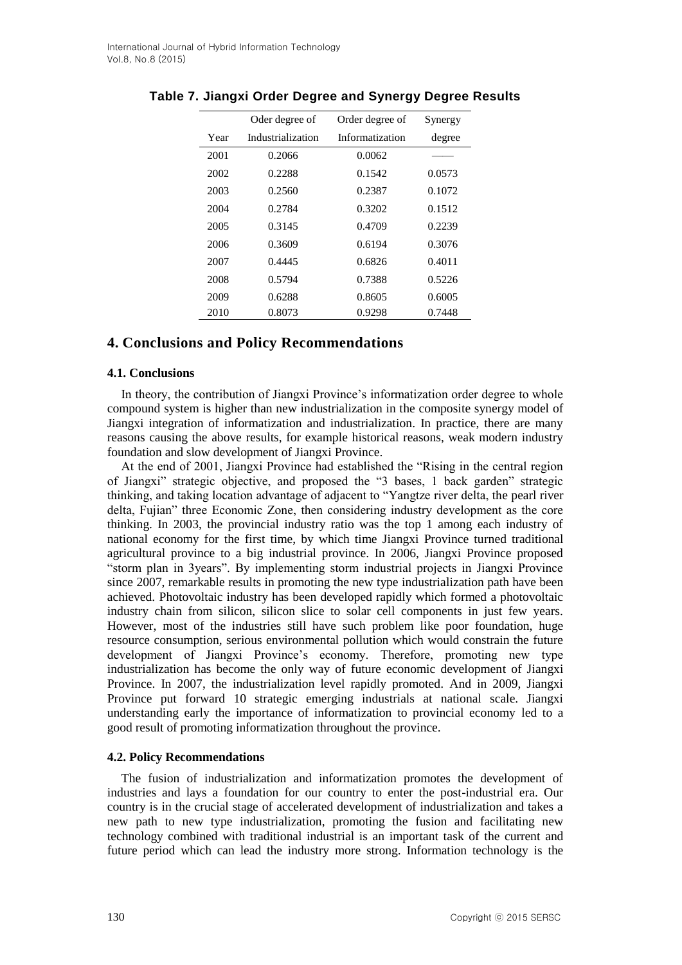|      | Oder degree of    | Order degree of | Synergy |
|------|-------------------|-----------------|---------|
| Year | Industrialization | Informatization | degree  |
| 2001 | 0.2066            | 0.0062          |         |
| 2002 | 0.2288            | 0.1542          | 0.0573  |
| 2003 | 0.2560            | 0.2387          | 0.1072  |
| 2004 | 0.2784            | 0.3202          | 0.1512  |
| 2005 | 0.3145            | 0.4709          | 0.2239  |
| 2006 | 0.3609            | 0.6194          | 0.3076  |
| 2007 | 0.4445            | 0.6826          | 0.4011  |
| 2008 | 0.5794            | 0.7388          | 0.5226  |
| 2009 | 0.6288            | 0.8605          | 0.6005  |
| 2010 | 0.8073            | 0.9298          | 0.7448  |

### **Table 7. Jiangxi Order Degree and Synergy Degree Results**

### **4. Conclusions and Policy Recommendations**

#### **4.1. Conclusions**

In theory, the contribution of Jiangxi Province's informatization order degree to whole compound system is higher than new industrialization in the composite synergy model of Jiangxi integration of informatization and industrialization. In practice, there are many reasons causing the above results, for example historical reasons, weak modern industry foundation and slow development of Jiangxi Province.

At the end of 2001, Jiangxi Province had established the "Rising in the central region of Jiangxi" strategic objective, and proposed the "3 bases, 1 back garden" strategic thinking, and taking location advantage of adjacent to "Yangtze river delta, the pearl river delta, Fujian" three Economic Zone, then considering industry development as the core thinking. In 2003, the provincial industry ratio was the top 1 among each industry of national economy for the first time, by which time Jiangxi Province turned traditional agricultural province to a big industrial province. In 2006, Jiangxi Province proposed "storm plan in 3years". By implementing storm industrial projects in Jiangxi Province since 2007, remarkable results in promoting the new type industrialization path have been achieved. Photovoltaic industry has been developed rapidly which formed a photovoltaic industry chain from silicon, silicon slice to solar cell components in just few years. However, most of the industries still have such problem like poor foundation, huge resource consumption, serious environmental pollution which would constrain the future development of Jiangxi Province's economy. Therefore, promoting new type industrialization has become the only way of future economic development of Jiangxi Province. In 2007, the industrialization level rapidly promoted. And in 2009, Jiangxi Province put forward 10 strategic emerging industrials at national scale. Jiangxi understanding early the importance of informatization to provincial economy led to a good result of promoting informatization throughout the province.

### **4.2. Policy Recommendations**

The fusion of industrialization and informatization promotes the development of industries and lays a foundation for our country to enter the post-industrial era. Our country is in the crucial stage of accelerated development of industrialization and takes a new path to new type industrialization, promoting the fusion and facilitating new technology combined with traditional industrial is an important task of the current and future period which can lead the industry more strong. Information technology is the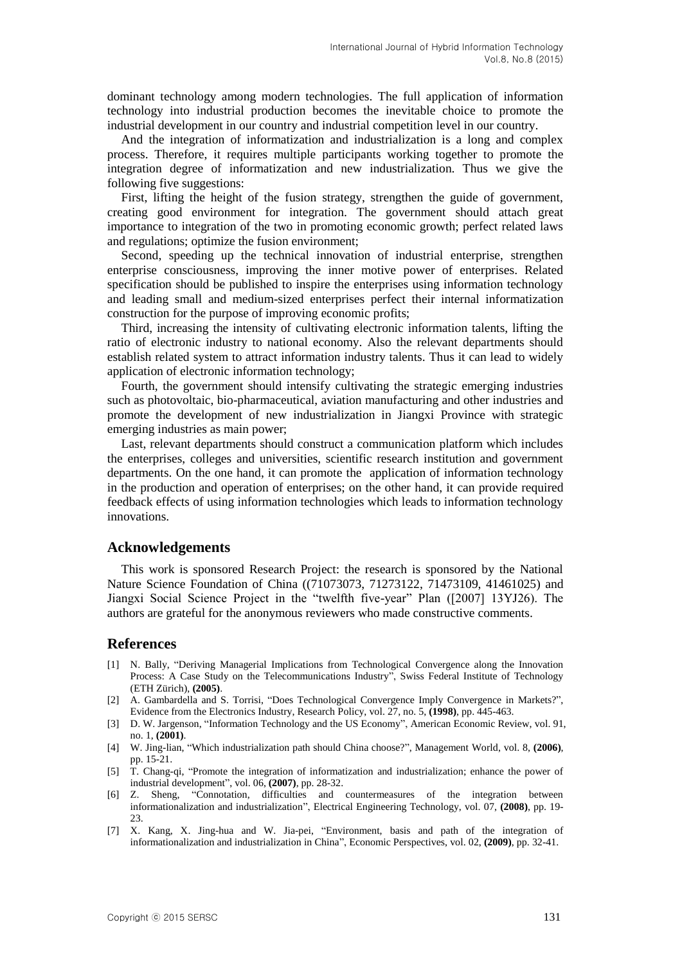dominant technology among modern technologies. The full application of information technology into industrial production becomes the inevitable choice to promote the industrial development in our country and industrial competition level in our country.

And the integration of informatization and industrialization is a long and complex process. Therefore, it requires multiple participants working together to promote the integration degree of informatization and new industrialization. Thus we give the following five suggestions:

First, lifting the height of the fusion strategy, strengthen the guide of government, creating good environment for integration. The government should attach great importance to integration of the two in promoting economic growth; perfect related laws and regulations; optimize the fusion environment;

Second, speeding up the technical innovation of industrial enterprise, strengthen enterprise consciousness, improving the inner motive power of enterprises. Related specification should be published to inspire the enterprises using information technology and leading small and medium-sized enterprises perfect their internal informatization construction for the purpose of improving economic profits;

Third, increasing the intensity of cultivating electronic information talents, lifting the ratio of electronic industry to national economy. Also the relevant departments should establish related system to attract information industry talents. Thus it can lead to widely application of electronic information technology;

Fourth, the government should intensify cultivating the strategic emerging industries such as photovoltaic, bio-pharmaceutical, aviation manufacturing and other industries and promote the development of new industrialization in Jiangxi Province with strategic emerging industries as main power;

Last, relevant departments should construct a communication platform which includes the enterprises, colleges and universities, scientific research institution and government departments. On the one hand, it can promote the application of information technology in the production and operation of enterprises; on the other hand, it can provide required feedback effects of using information technologies which leads to information technology innovations.

#### **Acknowledgements**

This work is sponsored Research Project: the research is sponsored by the National Nature Science Foundation of China ((71073073, 71273122, 71473109, 41461025) and Jiangxi Social Science Project in the "twelfth five-year" Plan ([2007] 13YJ26). The authors are grateful for the anonymous reviewers who made constructive comments.

### **References**

- [1] N. Bally, "Deriving Managerial Implications from Technological Convergence along the Innovation Process: A Case Study on the Telecommunications Industry", Swiss Federal Institute of Technology (ETH Zürich), **(2005)**.
- [2] A. Gambardella and S. Torrisi, "Does Technological Convergence Imply Convergence in Markets?", Evidence from the Electronics Industry, Research Policy, vol. 27, no. 5, **(1998)**, pp. 445-463.
- [3] D. W. Jargenson, "Information Technology and the US Economy", American Economic Review, vol. 91, no. 1, **(2001)**.
- [4] W. Jing-lian, "Which industrialization path should China choose?", Management World, vol. 8, **(2006)**, pp. 15-21.
- [5] T. Chang-qi, "Promote the integration of informatization and industrialization; enhance the power of industrial development", vol. 06, **(2007)**, pp. 28-32.
- [6] Z. Sheng, "Connotation, difficulties and countermeasures of the integration between informationalization and industrialization", Electrical Engineering Technology, vol. 07, **(2008)**, pp. 19- 23.
- [7] X. Kang, X. Jing-hua and W. Jia-pei, "Environment, basis and path of the integration of informationalization and industrialization in China", Economic Perspectives, vol. 02, **(2009)**, pp. 32-41.